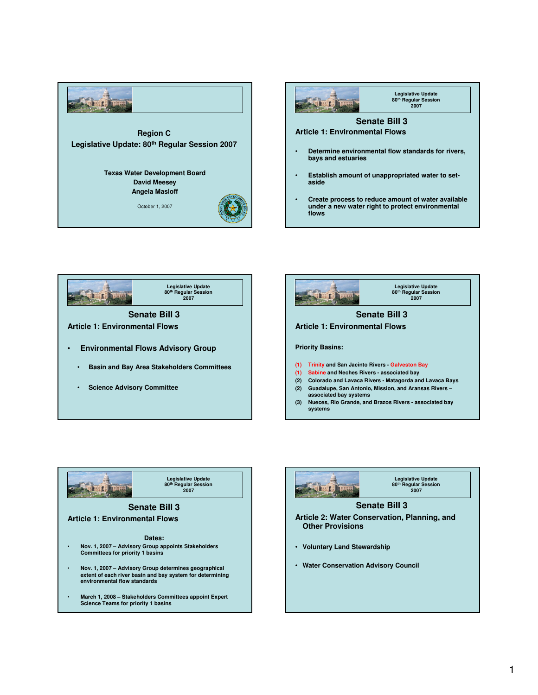









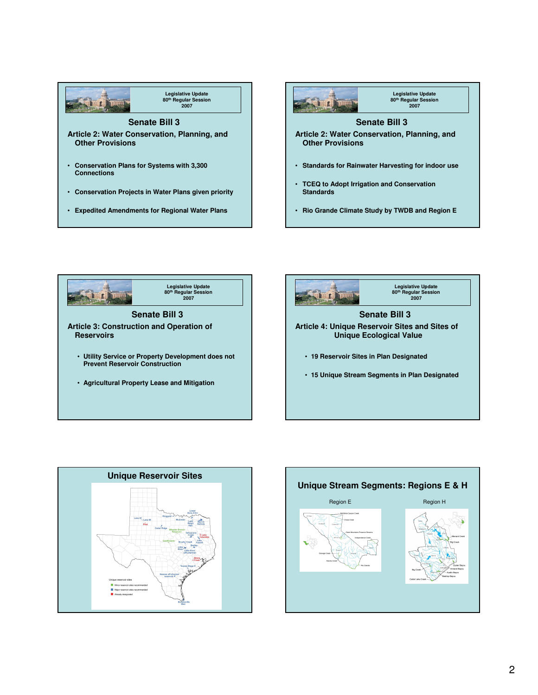









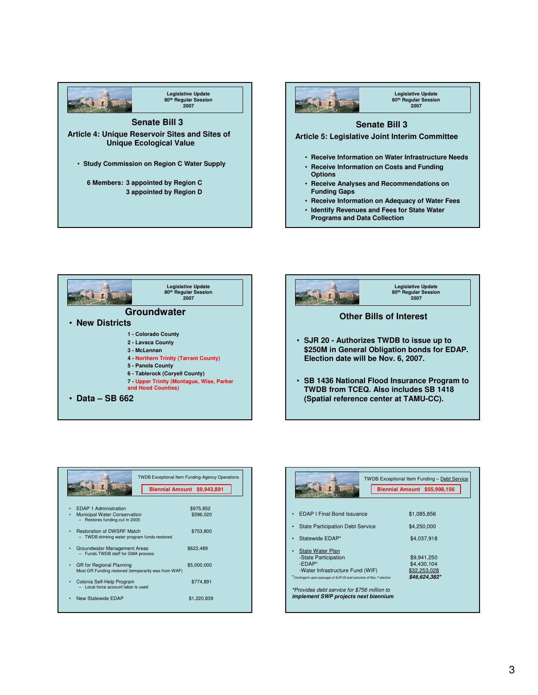